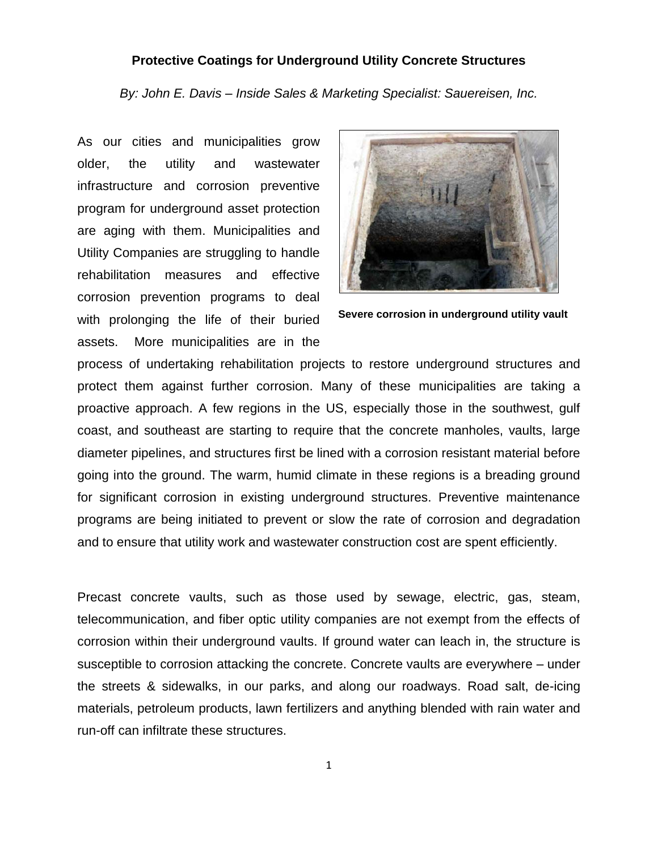### **Protective Coatings for Underground Utility Concrete Structures**

*By: John E. Davis – Inside Sales & Marketing Specialist: Sauereisen, Inc.*

As our cities and municipalities grow older, the utility and wastewater infrastructure and corrosion preventive program for underground asset protection are aging with them. Municipalities and Utility Companies are struggling to handle rehabilitation measures and effective corrosion prevention programs to deal with prolonging the life of their buried assets. More municipalities are in the



```
Severe corrosion in underground utility vault
```
process of undertaking rehabilitation projects to restore underground structures and protect them against further corrosion. Many of these municipalities are taking a proactive approach. A few regions in the US, especially those in the southwest, gulf coast, and southeast are starting to require that the concrete manholes, vaults, large diameter pipelines, and structures first be lined with a corrosion resistant material before going into the ground. The warm, humid climate in these regions is a breading ground for significant corrosion in existing underground structures. Preventive maintenance programs are being initiated to prevent or slow the rate of corrosion and degradation and to ensure that utility work and wastewater construction cost are spent efficiently.

Precast concrete vaults, such as those used by sewage, electric, gas, steam, telecommunication, and fiber optic utility companies are not exempt from the effects of corrosion within their underground vaults. If ground water can leach in, the structure is susceptible to corrosion attacking the concrete. Concrete vaults are everywhere – under the streets & sidewalks, in our parks, and along our roadways. Road salt, de-icing materials, petroleum products, lawn fertilizers and anything blended with rain water and run-off can infiltrate these structures.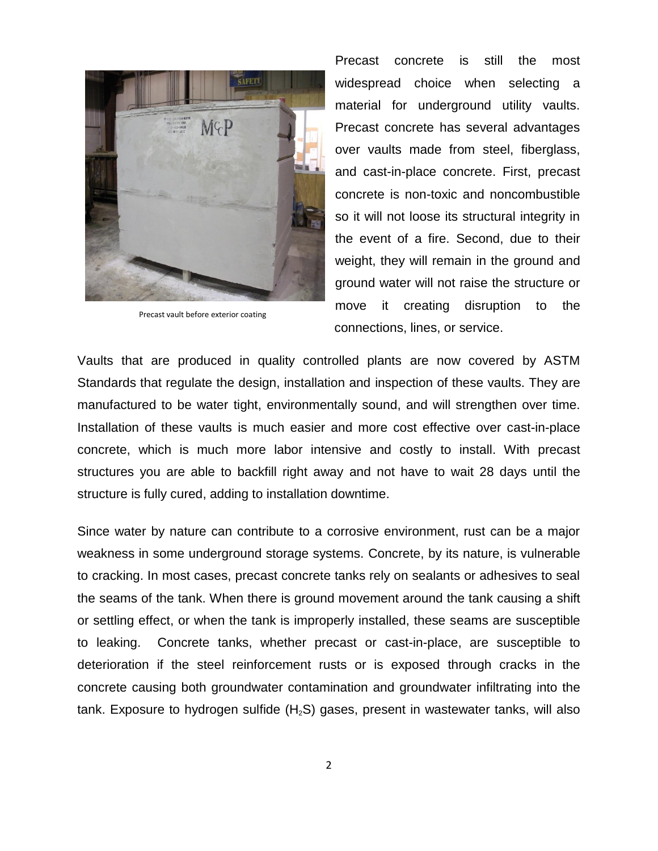

Precast vault before exterior coating

Precast concrete is still the most widespread choice when selecting a material for underground utility vaults. Precast concrete has several advantages over vaults made from steel, fiberglass, and cast-in-place concrete. First, precast concrete is non-toxic and noncombustible so it will not loose its structural integrity in the event of a fire. Second, due to their weight, they will remain in the ground and ground water will not raise the structure or move it creating disruption to the connections, lines, or service.

Vaults that are produced in quality controlled plants are now covered by ASTM Standards that regulate the design, installation and inspection of these vaults. They are manufactured to be water tight, environmentally sound, and will strengthen over time. Installation of these vaults is much easier and more cost effective over cast-in-place concrete, which is much more labor intensive and costly to install. With precast structures you are able to backfill right away and not have to wait 28 days until the structure is fully cured, adding to installation downtime.

Since water by nature can contribute to a corrosive environment, rust can be a major weakness in some underground storage systems. Concrete, by its nature, is vulnerable to cracking. In most cases, precast concrete tanks rely on sealants or adhesives to seal the seams of the tank. When there is ground movement around the tank causing a shift or settling effect, or when the tank is improperly installed, these seams are susceptible to leaking. Concrete tanks, whether precast or cast-in-place, are susceptible to deterioration if the steel reinforcement rusts or is exposed through cracks in the concrete causing both groundwater contamination and groundwater infiltrating into the tank. Exposure to hydrogen sulfide  $(H_2S)$  gases, present in wastewater tanks, will also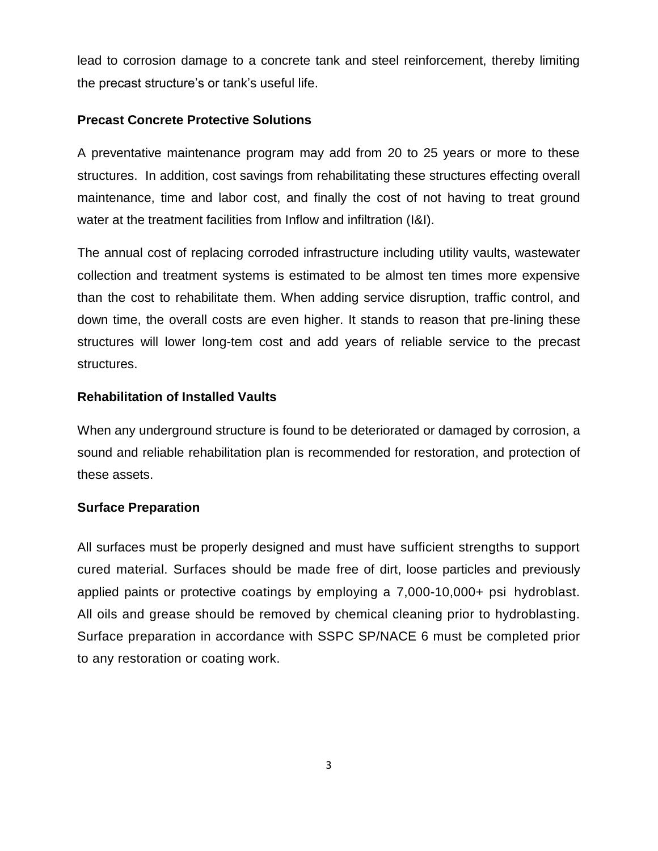lead to corrosion damage to a concrete tank and steel reinforcement, thereby limiting the precast structure's or tank's useful life.

# **Precast Concrete Protective Solutions**

A preventative maintenance program may add from 20 to 25 years or more to these structures. In addition, cost savings from rehabilitating these structures effecting overall maintenance, time and labor cost, and finally the cost of not having to treat ground water at the treatment facilities from Inflow and infiltration (I&I).

The annual cost of replacing corroded infrastructure including utility vaults, wastewater collection and treatment systems is estimated to be almost ten times more expensive than the cost to rehabilitate them. When adding service disruption, traffic control, and down time, the overall costs are even higher. It stands to reason that pre-lining these structures will lower long-tem cost and add years of reliable service to the precast structures.

## **Rehabilitation of Installed Vaults**

When any underground structure is found to be deteriorated or damaged by corrosion, a sound and reliable rehabilitation plan is recommended for restoration, and protection of these assets.

### **Surface Preparation**

All surfaces must be properly designed and must have sufficient strengths to support cured material. Surfaces should be made free of dirt, loose particles and previously applied paints or protective coatings by employing a 7,000-10,000+ psi hydroblast. All oils and grease should be removed by chemical cleaning prior to hydroblasting. Surface preparation in accordance with SSPC SP/NACE 6 must be completed prior to any restoration or coating work.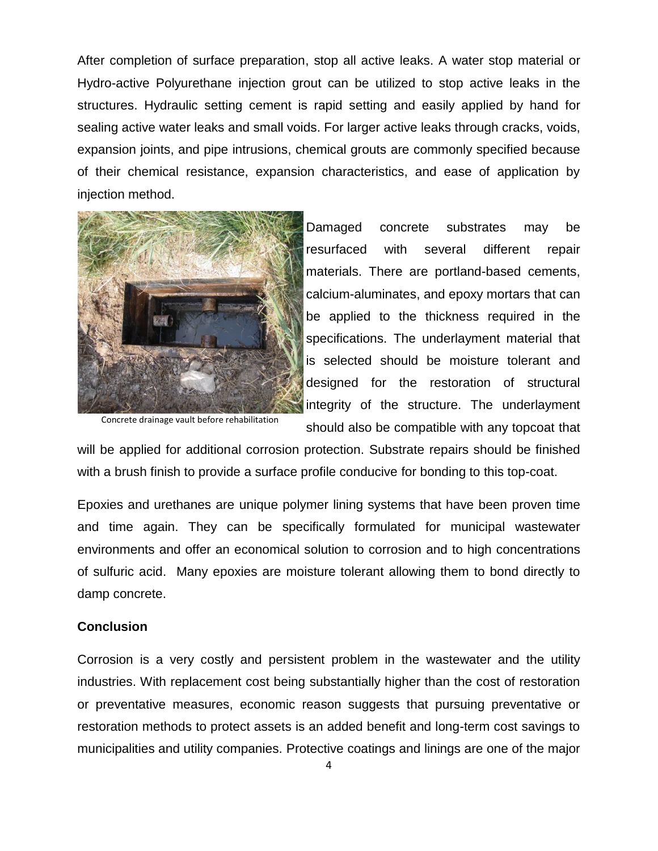After completion of surface preparation, stop all active leaks. A water stop material or Hydro-active Polyurethane injection grout can be utilized to stop active leaks in the structures. Hydraulic setting cement is rapid setting and easily applied by hand for sealing active water leaks and small voids. For larger active leaks through cracks, voids, expansion joints, and pipe intrusions, chemical grouts are commonly specified because of their chemical resistance, expansion characteristics, and ease of application by injection method.



Concrete drainage vault before rehabilitation

Damaged concrete substrates may be resurfaced with several different repair materials. There are portland-based cements, calcium-aluminates, and epoxy mortars that can be applied to the thickness required in the specifications. The underlayment material that is selected should be moisture tolerant and designed for the restoration of structural integrity of the structure. The underlayment should also be compatible with any topcoat that

will be applied for additional corrosion protection. Substrate repairs should be finished with a brush finish to provide a surface profile conducive for bonding to this top-coat.

Epoxies and urethanes are unique polymer lining systems that have been proven time and time again. They can be specifically formulated for municipal wastewater environments and offer an economical solution to corrosion and to high concentrations of sulfuric acid. Many epoxies are moisture tolerant allowing them to bond directly to damp concrete.

#### **Conclusion**

Corrosion is a very costly and persistent problem in the wastewater and the utility industries. With replacement cost being substantially higher than the cost of restoration or preventative measures, economic reason suggests that pursuing preventative or restoration methods to protect assets is an added benefit and long-term cost savings to municipalities and utility companies. Protective coatings and linings are one of the major